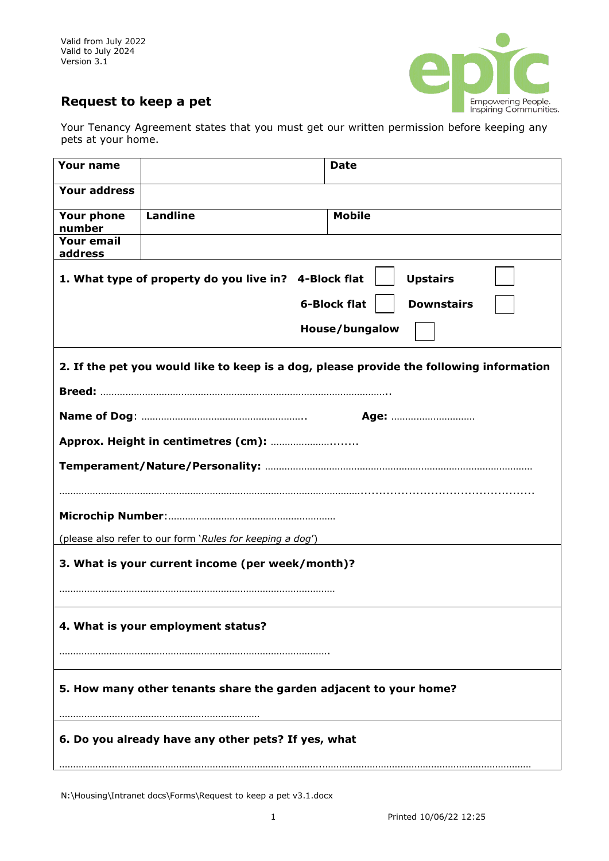Valid from July 2022 Valid to July 2024 Version 3.1



## **Request to keep a pet**

Your Tenancy Agreement states that you must get our written permission before keeping any pets at your home.

| <b>Your name</b>                                                                        |                 | <b>Date</b>   |
|-----------------------------------------------------------------------------------------|-----------------|---------------|
| <b>Your address</b>                                                                     |                 |               |
| <b>Your phone</b><br>number                                                             | <b>Landline</b> | <b>Mobile</b> |
| <b>Your email</b><br>address                                                            |                 |               |
| 1. What type of property do you live in? 4-Block flat<br><b>Upstairs</b>                |                 |               |
| <b>6-Block flat</b><br><b>Downstairs</b>                                                |                 |               |
| House/bungalow                                                                          |                 |               |
| 2. If the pet you would like to keep is a dog, please provide the following information |                 |               |
|                                                                                         |                 |               |
|                                                                                         |                 |               |
|                                                                                         |                 |               |
|                                                                                         |                 |               |
|                                                                                         |                 |               |
| (please also refer to our form 'Rules for keeping a dog')                               |                 |               |
| 3. What is your current income (per week/month)?                                        |                 |               |
|                                                                                         |                 |               |
| 4. What is your employment status?                                                      |                 |               |
|                                                                                         |                 |               |
| 5. How many other tenants share the garden adjacent to your home?                       |                 |               |
| 6. Do you already have any other pets? If yes, what                                     |                 |               |

N:\Housing\Intranet docs\Forms\Request to keep a pet v3.1.docx